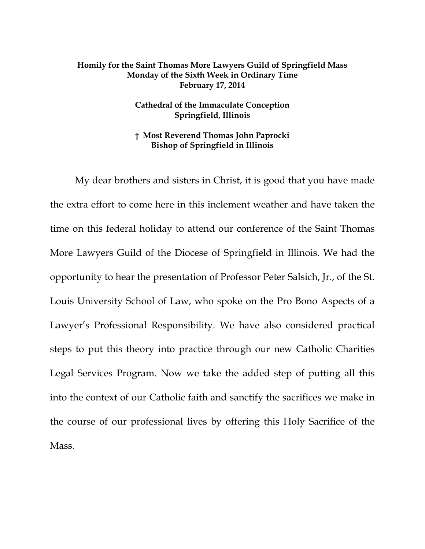## **Homily for the Saint Thomas More Lawyers Guild of Springfield Mass Monday of the Sixth Week in Ordinary Time February 17, 2014**

## **Cathedral of the Immaculate Conception Springfield, Illinois**

## **† Most Reverend Thomas John Paprocki Bishop of Springfield in Illinois**

My dear brothers and sisters in Christ, it is good that you have made the extra effort to come here in this inclement weather and have taken the time on this federal holiday to attend our conference of the Saint Thomas More Lawyers Guild of the Diocese of Springfield in Illinois. We had the opportunity to hear the presentation of Professor Peter Salsich, Jr., of the St. Louis University School of Law, who spoke on the Pro Bono Aspects of a Lawyer's Professional Responsibility. We have also considered practical steps to put this theory into practice through our new Catholic Charities Legal Services Program. Now we take the added step of putting all this into the context of our Catholic faith and sanctify the sacrifices we make in the course of our professional lives by offering this Holy Sacrifice of the Mass.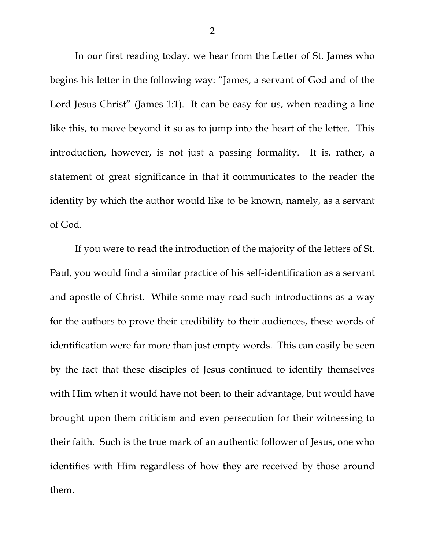In our first reading today, we hear from the Letter of St. James who begins his letter in the following way: "James, a servant of God and of the Lord Jesus Christ" (James 1:1). It can be easy for us, when reading a line like this, to move beyond it so as to jump into the heart of the letter. This introduction, however, is not just a passing formality. It is, rather, a statement of great significance in that it communicates to the reader the identity by which the author would like to be known, namely, as a servant of God.

If you were to read the introduction of the majority of the letters of St. Paul, you would find a similar practice of his self-identification as a servant and apostle of Christ. While some may read such introductions as a way for the authors to prove their credibility to their audiences, these words of identification were far more than just empty words. This can easily be seen by the fact that these disciples of Jesus continued to identify themselves with Him when it would have not been to their advantage, but would have brought upon them criticism and even persecution for their witnessing to their faith. Such is the true mark of an authentic follower of Jesus, one who identifies with Him regardless of how they are received by those around them.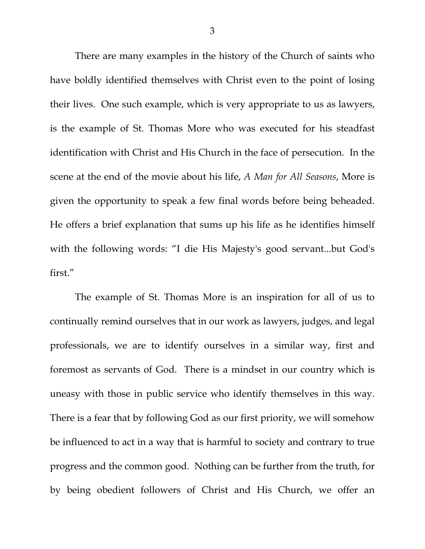There are many examples in the history of the Church of saints who have boldly identified themselves with Christ even to the point of losing their lives. One such example, which is very appropriate to us as lawyers, is the example of St. Thomas More who was executed for his steadfast identification with Christ and His Church in the face of persecution. In the scene at the end of the movie about his life, *A Man for All Seasons*, More is given the opportunity to speak a few final words before being beheaded. He offers a brief explanation that sums up his life as he identifies himself with the following words: "I die His Majesty's good servant...but God's first."

The example of St. Thomas More is an inspiration for all of us to continually remind ourselves that in our work as lawyers, judges, and legal professionals, we are to identify ourselves in a similar way, first and foremost as servants of God. There is a mindset in our country which is uneasy with those in public service who identify themselves in this way. There is a fear that by following God as our first priority, we will somehow be influenced to act in a way that is harmful to society and contrary to true progress and the common good. Nothing can be further from the truth, for by being obedient followers of Christ and His Church, we offer an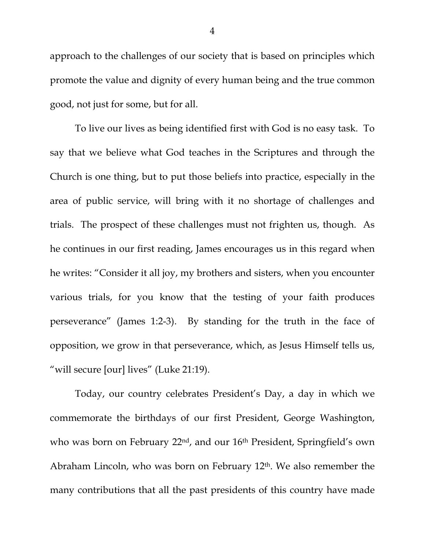approach to the challenges of our society that is based on principles which promote the value and dignity of every human being and the true common good, not just for some, but for all.

To live our lives as being identified first with God is no easy task. To say that we believe what God teaches in the Scriptures and through the Church is one thing, but to put those beliefs into practice, especially in the area of public service, will bring with it no shortage of challenges and trials. The prospect of these challenges must not frighten us, though. As he continues in our first reading, James encourages us in this regard when he writes: "Consider it all joy, my brothers and sisters, when you encounter various trials, for you know that the testing of your faith produces perseverance" (James 1:2-3). By standing for the truth in the face of opposition, we grow in that perseverance, which, as Jesus Himself tells us, "will secure [our] lives" (Luke 21:19).

Today, our country celebrates President's Day, a day in which we commemorate the birthdays of our first President, George Washington, who was born on February 22<sup>nd</sup>, and our 16<sup>th</sup> President, Springfield's own Abraham Lincoln, who was born on February 12th. We also remember the many contributions that all the past presidents of this country have made

4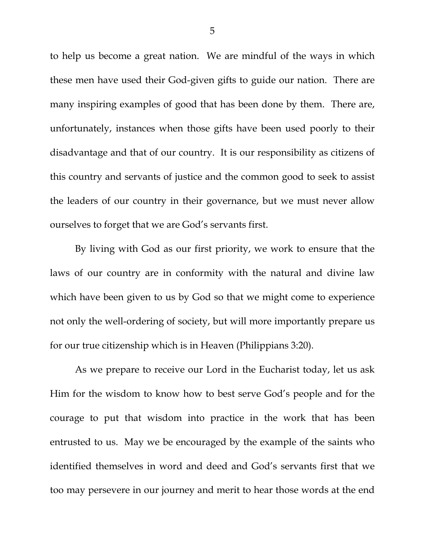to help us become a great nation. We are mindful of the ways in which these men have used their God-given gifts to guide our nation. There are many inspiring examples of good that has been done by them. There are, unfortunately, instances when those gifts have been used poorly to their disadvantage and that of our country. It is our responsibility as citizens of this country and servants of justice and the common good to seek to assist the leaders of our country in their governance, but we must never allow ourselves to forget that we are God's servants first.

By living with God as our first priority, we work to ensure that the laws of our country are in conformity with the natural and divine law which have been given to us by God so that we might come to experience not only the well-ordering of society, but will more importantly prepare us for our true citizenship which is in Heaven (Philippians 3:20).

As we prepare to receive our Lord in the Eucharist today, let us ask Him for the wisdom to know how to best serve God's people and for the courage to put that wisdom into practice in the work that has been entrusted to us. May we be encouraged by the example of the saints who identified themselves in word and deed and God's servants first that we too may persevere in our journey and merit to hear those words at the end